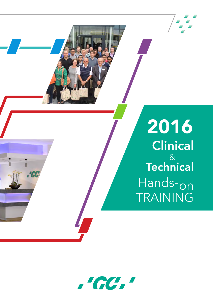

# **Clinical** & Technical Hands-on TRAINING 2016



ń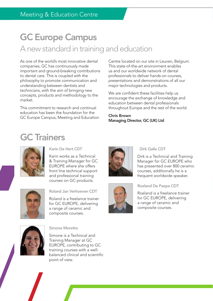# GC Europe Campus A new standard in training and education

As one of the world's most innovative dental companies, GC has continuously made important and ground-breaking contributions to dental care. This is coupled with the philosophy to promote communication and understanding between dentists and technicians, with the aim of bringing new concepts, products and methodology to the market.

This commitment to research and continual education has been the foundation for the GC Europe Campus, Meeting and Education

Centre located on our site in Leuven, Belgium. This state-of-the-art environment enables us and our worldwide network of dental professionals to deliver hands-on courses, presentations and demonstrations of all our major technologies and products.

We are confident these facilities help us encourage the exchange of knowledge and education between dental professionals throughout Europe and the rest of the world.

#### Chris Brown Managing Director, GC (UK) Ltd

# GC Trainers



#### Karin De Hert CDT

Karin works as a Technical & Training Manager for GC EUROPE where she offers front line technical support and professional training courses on GC products.



Roland Jan Verhoeven CDT

Roland is a freelance trainer for GC EUROPE, delivering a range of ceramic and composite courses.



#### Dirk Galle CDT

Dirk is a Technical and Training Manager for GC EUROPE who has presented over 800 ceramic courses, additionally he is a frequent worldwide speaker.



#### Roeland De Paepe CDT

Roeland is a freelance trainer for GC EUROPE, delivering a range of ceramic and composite courses.



Simone Moretto

Simone is a Technical and Training Manager at GC EUROPE, contributing to GC training courses with a wellbalanced clinical and scientific point of view.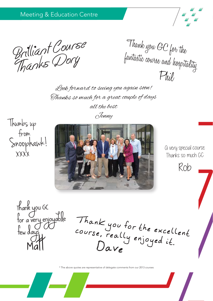Brilliant Course<br>Thanks Dory fantastic course and hospita

Thank you GC for the<br>fantastic course and hospitality Phil

Look forward to seeing you again soon! Thanks so much for a great couple of days all the best Jenny

Thumbs up from Snoophawk! xxxx



A very special course Thanks so much GC

Rob

Thank you GC for a very enjoyable few days **Matt** 

Thank you for the excellent course, really enjoyed it. Dave

\* The above quotes are representative of delegate comments from our 2013 courses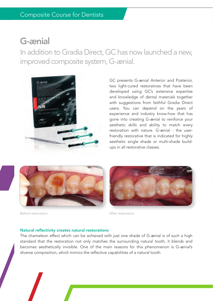### G-ænial

In addition to Gradia Direct, GC has now launched a new, improved composite system, G-ænial.



GC presents G-ænial Anterior and Posterior, two light-cured restoratives that have been developed using GC's extensive expertise and knowledge of dental materials together with suggestions from faithful Gradia Direct users. You can depend on the years of experience and industry know-how that has gone into creating G-ænial to reinforce your aesthetic skills and ability to match every restoration with nature. G-ænial - the userfriendly restorative that is indicated for highly aesthetic single shade or multi-shade buildups in all restorative classes.



Before restoration and a set of the After restoration



#### Natural reflectivity creates natural restorations

The chameleon effect which can be achieved with just one shade of G-ænial is of such a high standard that the restoration not only matches the surrounding natural tooth, it blends and becomes aesthetically invisible. One of the main reasons for this phenomenon is G-ænial's diverse composition, which mimics the reflective capabilities of a natural tooth.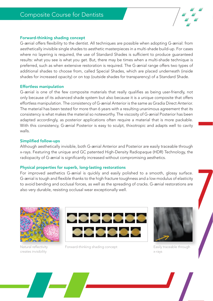

#### Forward-thinking shading concept

G-ænial offers flexibility to the dentist. All techniques are possible when adopting G-ænial: from aesthetically invisible single shades to aesthetic masterpieces in a multi-shade build-up. For cases where no layering is required, the use of Standard Shades is sufficient to produce guaranteed results: what you see is what you get. But, there may be times when a multi-shade technique is preferred, such as when extensive restoration is required. The G-ænial range offers two types of additional shades to choose from, called Special Shades, which are placed underneath (inside shades for increased opacity) or on top (outside shades for transparency) of a Standard Shade.

#### Effortless manipulation

G-ænial is one of the few composite materials that really qualifies as being user-friendly, not only because of its advanced shade system but also because it is a unique composite that offers effortless manipulation. The consistency of G-ænial Anterior is the same as Gradia Direct Anterior. The material has been tested for more than 6 years with a resulting unanimous agreement that its consistency is what makes the material so noteworthy. The viscosity of G-ænial Posterior has been adapted accordingly, as posterior applications often require a material that is more packable. With this consistency, G-ænial Posterior is easy to sculpt, thixotropic and adapts well to cavity walls.

#### Simplified follow-ups

Although aesthetically invisible, both G-ænial Anterior and Posterior are easily traceable through x-rays. Featuring the unique and GC patented High-Density Radiopaque (HDR) Technology, the radiopacity of G-ænial is significantly increased without compromising aesthetics.

#### Physical properties for superb, long-lasting restorations

For improved aesthetics G-ænial is quickly and easily polished to a smooth, glossy surface. G-ænial is tough and flexible thanks to the high fracture toughness and a low modulus of elasticity to avoid bending and occlusal forces, as well as the spreading of cracks. G-ænial restorations are also very durable, resisting occlusal wear exceptionally well.



creates invisibility



Natural reflectivity Forward-thinking shading concept



Easily traceable through x-rays

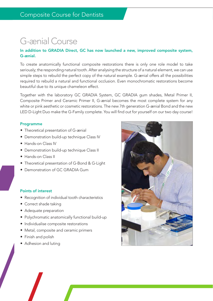# G-ænial Course

#### In addition to GRADIA Direct, GC has now launched a new, improved composite system, G-ænial.

To create anatomically functional composite restorations there is only one role model to take seriously; the responding natural tooth. After analysing the structure of a natural element, we can use simple steps to rebuild the perfect copy of the natural example. G-ænial offers all the possibilities required to rebuild a natural and functional occlusion. Even monochromatic restorations become beautiful due to its unique chameleon effect.

Together with the laboratory GC GRADIA System, GC GRADIA gum shades, Metal Primer II, Composite Primer and Ceramic Primer II, G-ænial becomes the most complete system for any white or pink aesthetic or cosmetic restorations. The new 7th generation G-ænial Bond and the new LED D-Light Duo make the G-Family complete. You will find out for yourself on our two day course!

#### Programme

- Theoretical presentation of G-ænial
- Demonstration build-up technique Class IV
- Hands-on Class IV
- Demonstration build-up technique Class II
- Hands-on Class II
- Theoretical presentation of G-Bond & G-Light
- Demonstration of GC GRADIA Gum

#### Points of interest

- Recognition of individual tooth characteristics
- Correct shade taking
- Adequate preparation
- Polychromatic anatomically functional build-up
- Individualise composite restorations
- Metal, composite and ceramic primers
- Finish and polish
- Adhesion and luting

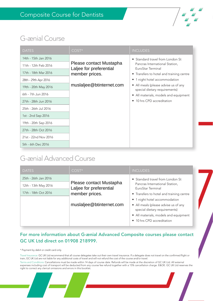

### G-ænial Course

| <b>DATES</b>                                                                                                                               | COST*                                                                                            | <b>INCLUDES</b>                                                                                                                                                                                                                                                                        |
|--------------------------------------------------------------------------------------------------------------------------------------------|--------------------------------------------------------------------------------------------------|----------------------------------------------------------------------------------------------------------------------------------------------------------------------------------------------------------------------------------------------------------------------------------------|
| 14th - 15th Jan 2016<br>11th - 12th Feb 2016<br>17th - 18th Mar 2016<br>28th - 29th Apr 2016<br>19th - 20th May 2016<br>6th - 7th Jun 2016 | Please contact Mustapha<br>Laljee for preferential<br>member prices.<br>muslaljee@btinternet.com | • Standard travel from London St<br>Pancras International Station,<br>EuroStar Terminal<br>• Transfers to hotel and training centre<br>• 1 night hotel accommodation<br>• All meals (please advise us of any<br>special dietary requirements)<br>• All materials, models and equipment |
| 27th - 28th Jun 2016<br>25th - 26th Jul 2016<br>1st - 2nd Sep 2016                                                                         |                                                                                                  | • 10 hrs CPD accreditation                                                                                                                                                                                                                                                             |
| 19th - 20th Sep 2016<br>27th - 28th Oct 2016<br>21st - 22nd Nov 2016                                                                       |                                                                                                  |                                                                                                                                                                                                                                                                                        |
| 5th - 6th Dec 2016                                                                                                                         |                                                                                                  |                                                                                                                                                                                                                                                                                        |

### G-ænial Advanced Course

| <b>DATES</b>         | $COST*$                                            | <b>INCLUDES</b>                                                       |
|----------------------|----------------------------------------------------|-----------------------------------------------------------------------|
| 25th - 26th Jan 2016 |                                                    | • Standard travel from London St                                      |
| 12th - 13th May 2016 | Please contact Mustapha<br>Laljee for preferential | Pancras International Station,<br>EuroStar Terminal                   |
| 17th - 18th Oct 2016 | member prices.                                     | • Transfers to hotel and training centre                              |
|                      |                                                    | • 1 night hotel accommodation                                         |
|                      | muslaljee@btinternet.com                           | • All meals (please advise us of any<br>special dietary requirements) |
|                      |                                                    | • All materials, models and equipment                                 |
|                      |                                                    | • 10 hrs CPD accreditation                                            |

#### For more information about G-ænial Advanced Composite courses please contact GC UK Ltd direct on 01908 218999.

\* Payment by debit or credit card only.

Travel Insurance: GC UK Ltd recommend that all course delegates take out their own travel insurance. If a delegate does not travel on the confirmed flight or train, GC UK Ltd are not liable for any additional costs of travel and will not refund the cost of the course and/or travel.

Terms and Conditions: Cancellations must be made within 14 days of course date. Refunds will be made at the discretion of GC UK Ltd. All external<br>expenses including cost of transport will be deducted from any course fee re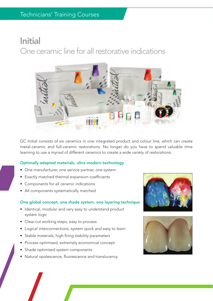# Initial One ceramic line for all restorative indications



GC Initial consists of six ceramics in one integrated product and colour line, which can create metal-ceramic and full-ceramic restorations. No longer do you have to spend valuable time learning to use a myriad of different ceramics to create a wide variety of restorations.

#### Optimally adapted materials, ultra modern technology

- One manufacturer, one service partner, one system
- Exactly matched thermal expansion coefficients
- Components for all ceramic indications
- All components systematically matched

#### One global concept, one shade system, one layering technique

- Identical, modular and very easy to understand product system logic
- Clear-cut working steps, easy to process
- Logical interconnections, system quick and easy to learn
- Stable materials, high firing stability parameters
- Process optimised, extremely economical concept
- Shade optimised system components
- Natural opalescence, fluorescence and translucency



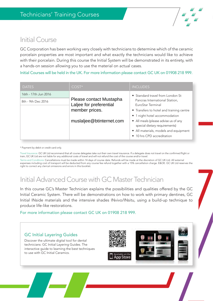

### Initial Course

GC Corporation has been working very closely with technicians to determine which of the ceramic porcelain properties are most important and what exactly the technicians would like to achieve with their porcelain. During this course the Initial System will be demonstrated in its entirety, with a hands-on session allowing you to use the material on actual cases.

#### Initial Courses will be held in the UK. For more information please contact GC UK on 01908 218 999.

| <b>DATES</b>         | $COST*$                                                              | <b>INCLUDES</b>                                                                                                |
|----------------------|----------------------------------------------------------------------|----------------------------------------------------------------------------------------------------------------|
| 16th - 17th Jun 2016 |                                                                      | • Standard travel from London St                                                                               |
| 8th - 9th Dec 2016   | Please contact Mustapha<br>Laljee for preferential<br>member prices. | Pancras International Station,<br>EuroStar Terminal                                                            |
|                      |                                                                      | • Transfers to hotel and training centre<br>• 1 night hotel accommodation                                      |
|                      | muslaljee@btinternet.com                                             | • All meals (please advise us of any<br>special dietary requirements)<br>• All materials, models and equipment |
|                      |                                                                      | • 10 hrs CPD accreditation                                                                                     |

\* Payment by debit or credit card only.

Travel Insurance: GC UK Ltd recommend that all course delegates take out their own travel insurance. If a delegate does not travel on the confirmed flight or train, GC UK Ltd are not liable for any additional costs of travel and will not refund the cost of the course and/or travel.

Terms and Conditions: Cancellations must be made within 14 days of course date. Refunds will be made at the discretion of GC UK Ltd. All external expenses including cost of transport will be deducted from any course fee refund together with a 15% cancellation charge. E&OE. GC UK Ltd reserves the right to correct any clerical omissions and errors in this booklet.

### Initial Advanced Course with GC Master Technician

In this course GC's Master Technician explains the possibilities and qualities offered by the GC Initial Ceramic System. There will be demonstrations on how to work with primary dentines, GC Initial INside materials and the intensive shades INvivo/INsitu, using a build-up technique to produce life-like restorations.

#### For more information please contact GC UK on 01908 218 999.

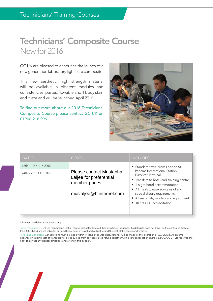### Technicians' Composite Course New for 2016

GC UK are pleased to announce the launch of a new generation laboratory light cure composite.

This new aesthetic, high strength material will be available in different modules and consistencies, pastes, flowable and 1 body stain and glaze and will be launched April 2016.

To find out more about our 2016 Technicians' Composite Course please contact GC UK on 01908 218 999.



| <b>DATES</b>                                 | $COST*$                                                                                                                                      | <b>INCLUDES</b>                                                                                                                                                      |
|----------------------------------------------|----------------------------------------------------------------------------------------------------------------------------------------------|----------------------------------------------------------------------------------------------------------------------------------------------------------------------|
| 13th - 14th Jun 2016<br>24th - 25th Oct 2016 | Please contact Mustapha<br>Laljee for preferential<br>member prices.                                                                         | • Standard travel from London St<br>Pancras International Station,<br>EuroStar Terminal<br>• Transfers to hotel and training centre<br>• 1 night hotel accommodation |
| muslaljee@btinternet.com                     | • All meals (please advise us of any<br>special dietary requirements)<br>• All materials, models and equipment<br>• 10 hrs CPD accreditation |                                                                                                                                                                      |

\* Payment by debit or credit card only.

Travel Insurance: GC UK Ltd recommend that all course delegates take out their own travel insurance. If a delegate does not travel on the confirmed flight or train, GC UK Ltd are not liable for any additional costs of travel and will not refund the cost of the course and/or travel.

Terms and Conditions: Cancellations must be made within 14 days of course date. Refunds will be made at the discretion of GC UK Ltd. All external expenses including cost of transport will be deducted from any course fee refund together with a 15% cancellation charge. E&OE. GC UK Ltd reserves the right to correct any clerical omissions and errors in this booklet.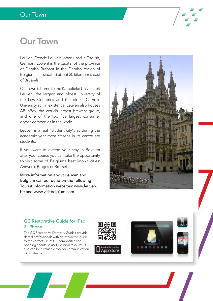

# Our Town

Leuven (French: Louvain, often used in English, German: Löwen) is the capital of the province of Flemish Brabant in the Flemish region of Belgium. It is situated about 30 kilometres east of Brussels.

Our town is home to the Katholieke Universiteit Leuven, the largest and oldest university of the Low Countries and the oldest Catholic University still in existence. Leuven also houses AB-InBev, the world's largest brewery group, and one of the top five largest consumer goods companies in the world.

Leuven is a real "student city", as during the academic year most citizens in its centre are students.

If you want to extend your stay in Belgium after your course you can take the opportunity to visit some of Belgium's best known cities: Antwerp, Bruges or Brussels.

More information about Leuven and Belgium can be found on the following Tourist Information websites: www.leuven. be and www.visitbelgium.com



#### GC Restorative Guide for iPad & iPhone

The GC Restorative Dentistry Guides provide dental professionals with an interactive guide to the correct use of GC composites and bonding agents. A useful clinical resource, it also can be a valuable tool for communication with patients.